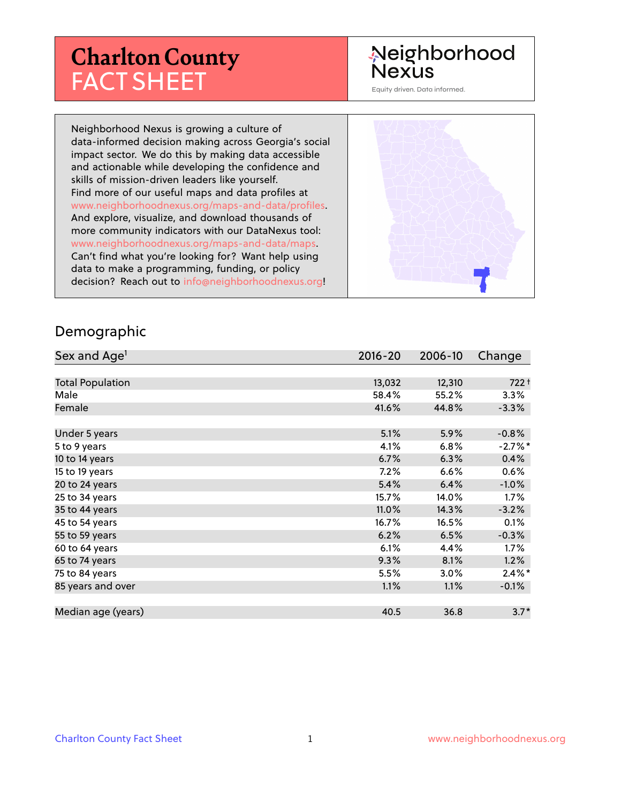# **Charlton County** FACT SHEET

# Neighborhood **Nexus**

Equity driven. Data informed.

Neighborhood Nexus is growing a culture of data-informed decision making across Georgia's social impact sector. We do this by making data accessible and actionable while developing the confidence and skills of mission-driven leaders like yourself. Find more of our useful maps and data profiles at www.neighborhoodnexus.org/maps-and-data/profiles. And explore, visualize, and download thousands of more community indicators with our DataNexus tool: www.neighborhoodnexus.org/maps-and-data/maps. Can't find what you're looking for? Want help using data to make a programming, funding, or policy decision? Reach out to [info@neighborhoodnexus.org!](mailto:info@neighborhoodnexus.org)



#### Demographic

| Sex and Age <sup>1</sup> | $2016 - 20$ | 2006-10 | Change    |
|--------------------------|-------------|---------|-----------|
|                          |             |         |           |
| <b>Total Population</b>  | 13,032      | 12,310  | $722 +$   |
| Male                     | 58.4%       | 55.2%   | 3.3%      |
| Female                   | 41.6%       | 44.8%   | $-3.3%$   |
|                          |             |         |           |
| Under 5 years            | 5.1%        | 5.9%    | $-0.8%$   |
| 5 to 9 years             | 4.1%        | 6.8%    | $-2.7%$ * |
| 10 to 14 years           | 6.7%        | 6.3%    | 0.4%      |
| 15 to 19 years           | 7.2%        | 6.6%    | 0.6%      |
| 20 to 24 years           | 5.4%        | 6.4%    | $-1.0%$   |
| 25 to 34 years           | 15.7%       | 14.0%   | $1.7\%$   |
| 35 to 44 years           | 11.0%       | 14.3%   | $-3.2%$   |
| 45 to 54 years           | 16.7%       | 16.5%   | 0.1%      |
| 55 to 59 years           | 6.2%        | 6.5%    | $-0.3%$   |
| 60 to 64 years           | 6.1%        | 4.4%    | 1.7%      |
| 65 to 74 years           | 9.3%        | 8.1%    | 1.2%      |
| 75 to 84 years           | 5.5%        | 3.0%    | $2.4\%$ * |
| 85 years and over        | 1.1%        | 1.1%    | $-0.1%$   |
|                          |             |         |           |
| Median age (years)       | 40.5        | 36.8    | $3.7*$    |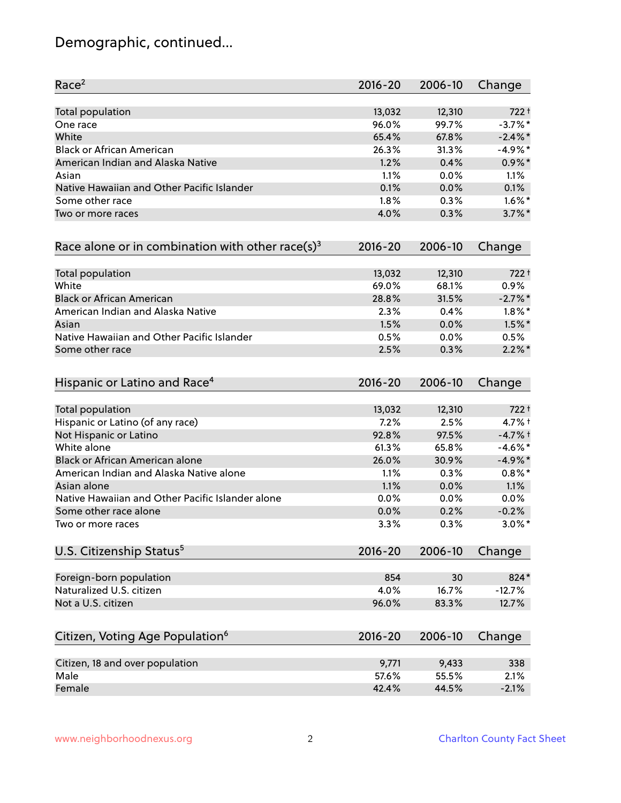# Demographic, continued...

| Race <sup>2</sup>                                            | $2016 - 20$ | 2006-10 | Change     |
|--------------------------------------------------------------|-------------|---------|------------|
| <b>Total population</b>                                      | 13,032      | 12,310  | $722 +$    |
| One race                                                     | 96.0%       | 99.7%   | $-3.7%$ *  |
| White                                                        | 65.4%       | 67.8%   | $-2.4\%$ * |
| <b>Black or African American</b>                             | 26.3%       | 31.3%   | $-4.9%$ *  |
| American Indian and Alaska Native                            | 1.2%        | 0.4%    | $0.9\%$ *  |
| Asian                                                        | 1.1%        | 0.0%    | 1.1%       |
| Native Hawaiian and Other Pacific Islander                   | 0.1%        | 0.0%    | 0.1%       |
| Some other race                                              | 1.8%        | 0.3%    | $1.6\%$ *  |
| Two or more races                                            | 4.0%        | 0.3%    | $3.7\%$ *  |
| Race alone or in combination with other race(s) <sup>3</sup> | 2016-20     | 2006-10 | Change     |
| Total population                                             | 13,032      | 12,310  | $722 +$    |
| White                                                        | 69.0%       | 68.1%   | 0.9%       |
| <b>Black or African American</b>                             | 28.8%       | 31.5%   | $-2.7%$ *  |
| American Indian and Alaska Native                            | 2.3%        | 0.4%    | $1.8\%$ *  |
| Asian                                                        | 1.5%        | 0.0%    | $1.5\%$ *  |
| Native Hawaiian and Other Pacific Islander                   | 0.5%        | 0.0%    | 0.5%       |
| Some other race                                              | 2.5%        | 0.3%    | $2.2\%$ *  |
| Hispanic or Latino and Race <sup>4</sup>                     | 2016-20     | 2006-10 | Change     |
| Total population                                             | 13,032      | 12,310  | $722 +$    |
| Hispanic or Latino (of any race)                             | 7.2%        | 2.5%    | $4.7%$ †   |
| Not Hispanic or Latino                                       | 92.8%       | 97.5%   | $-4.7%$ †  |
| White alone                                                  | 61.3%       | 65.8%   | $-4.6%$ *  |
| Black or African American alone                              | 26.0%       | 30.9%   | $-4.9%$ *  |
| American Indian and Alaska Native alone                      | 1.1%        | 0.3%    | $0.8\%$ *  |
| Asian alone                                                  | 1.1%        | 0.0%    | 1.1%       |
| Native Hawaiian and Other Pacific Islander alone             | 0.0%        | 0.0%    | $0.0\%$    |
| Some other race alone                                        | 0.0%        | 0.2%    | $-0.2%$    |
| Two or more races                                            | 3.3%        | 0.3%    | $3.0\%$ *  |
| U.S. Citizenship Status <sup>5</sup>                         | $2016 - 20$ | 2006-10 | Change     |
| Foreign-born population                                      | 854         | 30      | 824*       |
| Naturalized U.S. citizen                                     | 4.0%        | 16.7%   | $-12.7%$   |
| Not a U.S. citizen                                           | 96.0%       | 83.3%   | 12.7%      |
| Citizen, Voting Age Population <sup>6</sup>                  | 2016-20     | 2006-10 | Change     |
| Citizen, 18 and over population                              | 9,771       | 9,433   | 338        |
| Male                                                         | 57.6%       | 55.5%   | 2.1%       |
| Female                                                       | 42.4%       | 44.5%   | $-2.1%$    |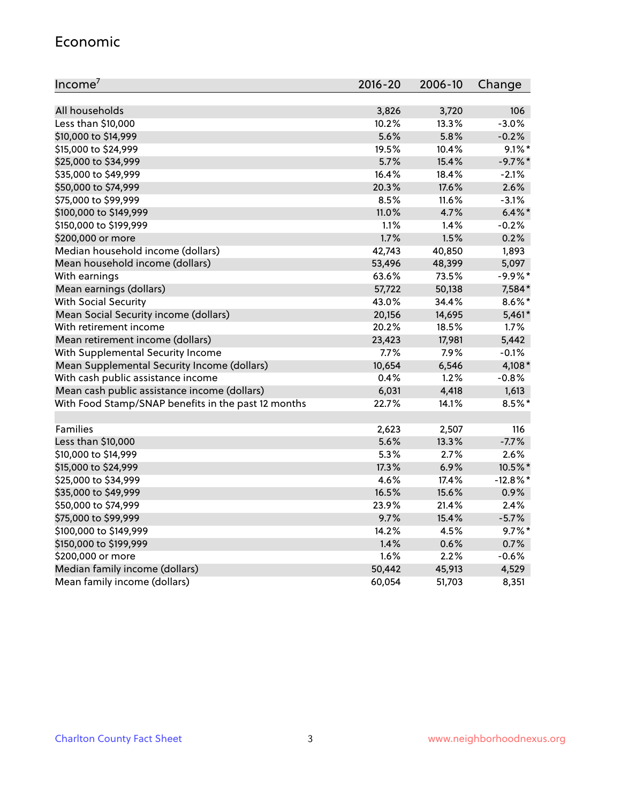#### Economic

| Income <sup>7</sup>                                 | $2016 - 20$ | 2006-10 | Change      |
|-----------------------------------------------------|-------------|---------|-------------|
|                                                     |             |         |             |
| All households                                      | 3,826       | 3,720   | 106         |
| Less than \$10,000                                  | 10.2%       | 13.3%   | $-3.0%$     |
| \$10,000 to \$14,999                                | 5.6%        | 5.8%    | $-0.2%$     |
| \$15,000 to \$24,999                                | 19.5%       | 10.4%   | $9.1\%$ *   |
| \$25,000 to \$34,999                                | 5.7%        | 15.4%   | $-9.7\%$ *  |
| \$35,000 to \$49,999                                | 16.4%       | 18.4%   | $-2.1%$     |
| \$50,000 to \$74,999                                | 20.3%       | 17.6%   | 2.6%        |
| \$75,000 to \$99,999                                | 8.5%        | 11.6%   | $-3.1%$     |
| \$100,000 to \$149,999                              | 11.0%       | 4.7%    | $6.4\%$ *   |
| \$150,000 to \$199,999                              | 1.1%        | 1.4%    | $-0.2%$     |
| \$200,000 or more                                   | 1.7%        | 1.5%    | 0.2%        |
| Median household income (dollars)                   | 42,743      | 40,850  | 1,893       |
| Mean household income (dollars)                     | 53,496      | 48,399  | 5,097       |
| With earnings                                       | 63.6%       | 73.5%   | $-9.9%$ *   |
| Mean earnings (dollars)                             | 57,722      | 50,138  | 7,584*      |
| <b>With Social Security</b>                         | 43.0%       | 34.4%   | $8.6\%$ *   |
| Mean Social Security income (dollars)               | 20,156      | 14,695  | $5,461*$    |
| With retirement income                              | 20.2%       | 18.5%   | 1.7%        |
| Mean retirement income (dollars)                    | 23,423      | 17,981  | 5,442       |
| With Supplemental Security Income                   | 7.7%        | 7.9%    | $-0.1%$     |
| Mean Supplemental Security Income (dollars)         | 10,654      | 6,546   | 4,108*      |
| With cash public assistance income                  | 0.4%        | 1.2%    | $-0.8%$     |
| Mean cash public assistance income (dollars)        | 6,031       | 4,418   | 1,613       |
| With Food Stamp/SNAP benefits in the past 12 months | 22.7%       | 14.1%   | $8.5\%$ *   |
|                                                     |             |         |             |
| Families                                            | 2,623       | 2,507   | 116         |
| Less than \$10,000                                  | 5.6%        | 13.3%   | $-7.7%$     |
| \$10,000 to \$14,999                                | 5.3%        | 2.7%    | 2.6%        |
| \$15,000 to \$24,999                                | 17.3%       | 6.9%    | 10.5%*      |
| \$25,000 to \$34,999                                | 4.6%        | 17.4%   | $-12.8\%$ * |
| \$35,000 to \$49,999                                | 16.5%       | 15.6%   | 0.9%        |
| \$50,000 to \$74,999                                | 23.9%       | 21.4%   | 2.4%        |
| \$75,000 to \$99,999                                | 9.7%        | 15.4%   | $-5.7%$     |
| \$100,000 to \$149,999                              | 14.2%       | 4.5%    | $9.7\%$ *   |
| \$150,000 to \$199,999                              | 1.4%        | 0.6%    | 0.7%        |
| \$200,000 or more                                   | 1.6%        | 2.2%    | $-0.6%$     |
| Median family income (dollars)                      | 50,442      | 45,913  | 4,529       |
| Mean family income (dollars)                        | 60,054      | 51,703  | 8,351       |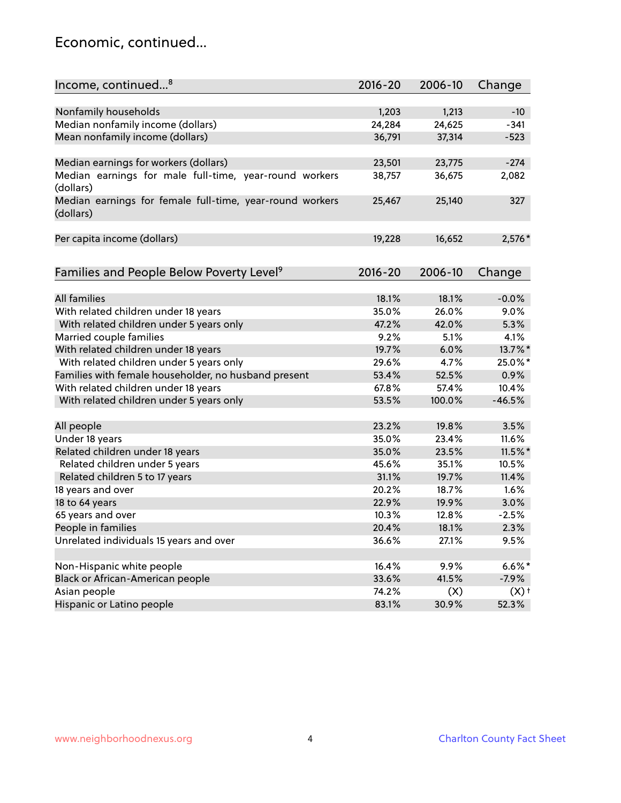### Economic, continued...

| Income, continued <sup>8</sup>                                        | $2016 - 20$ | 2006-10 | Change             |
|-----------------------------------------------------------------------|-------------|---------|--------------------|
|                                                                       |             |         |                    |
| Nonfamily households                                                  | 1,203       | 1,213   | $-10$              |
| Median nonfamily income (dollars)                                     | 24,284      | 24,625  | $-341$             |
| Mean nonfamily income (dollars)                                       | 36,791      | 37,314  | $-523$             |
| Median earnings for workers (dollars)                                 | 23,501      | 23,775  | $-274$             |
| Median earnings for male full-time, year-round workers                | 38,757      | 36,675  | 2,082              |
| (dollars)                                                             |             |         |                    |
| Median earnings for female full-time, year-round workers<br>(dollars) | 25,467      | 25,140  | 327                |
| Per capita income (dollars)                                           | 19,228      | 16,652  | $2,576*$           |
|                                                                       |             |         |                    |
| Families and People Below Poverty Level <sup>9</sup>                  | $2016 - 20$ | 2006-10 | Change             |
|                                                                       |             |         |                    |
| <b>All families</b>                                                   | 18.1%       | 18.1%   | $-0.0%$            |
| With related children under 18 years                                  | 35.0%       | 26.0%   | 9.0%               |
| With related children under 5 years only                              | 47.2%       | 42.0%   | 5.3%               |
| Married couple families                                               | 9.2%        | 5.1%    | 4.1%               |
| With related children under 18 years                                  | 19.7%       | 6.0%    | 13.7%*             |
| With related children under 5 years only                              | 29.6%       | 4.7%    | 25.0%*             |
| Families with female householder, no husband present                  | 53.4%       | 52.5%   | 0.9%               |
| With related children under 18 years                                  | 67.8%       | 57.4%   | 10.4%              |
| With related children under 5 years only                              | 53.5%       | 100.0%  | $-46.5%$           |
| All people                                                            | 23.2%       | 19.8%   | 3.5%               |
| Under 18 years                                                        | 35.0%       | 23.4%   | 11.6%              |
| Related children under 18 years                                       | 35.0%       | 23.5%   | $11.5\%$ *         |
| Related children under 5 years                                        | 45.6%       | 35.1%   | 10.5%              |
| Related children 5 to 17 years                                        | 31.1%       | 19.7%   | 11.4%              |
| 18 years and over                                                     | 20.2%       | 18.7%   | 1.6%               |
| 18 to 64 years                                                        | 22.9%       | 19.9%   | 3.0%               |
| 65 years and over                                                     | 10.3%       | 12.8%   | $-2.5%$            |
| People in families                                                    | 20.4%       | 18.1%   | 2.3%               |
| Unrelated individuals 15 years and over                               | 36.6%       | 27.1%   | 9.5%               |
|                                                                       |             |         |                    |
| Non-Hispanic white people                                             | 16.4%       | 9.9%    | $6.6\%$ *          |
| Black or African-American people                                      | 33.6%       | 41.5%   | $-7.9%$            |
| Asian people                                                          | 74.2%       | (X)     | $(X)$ <sup>+</sup> |
| Hispanic or Latino people                                             | 83.1%       | 30.9%   | 52.3%              |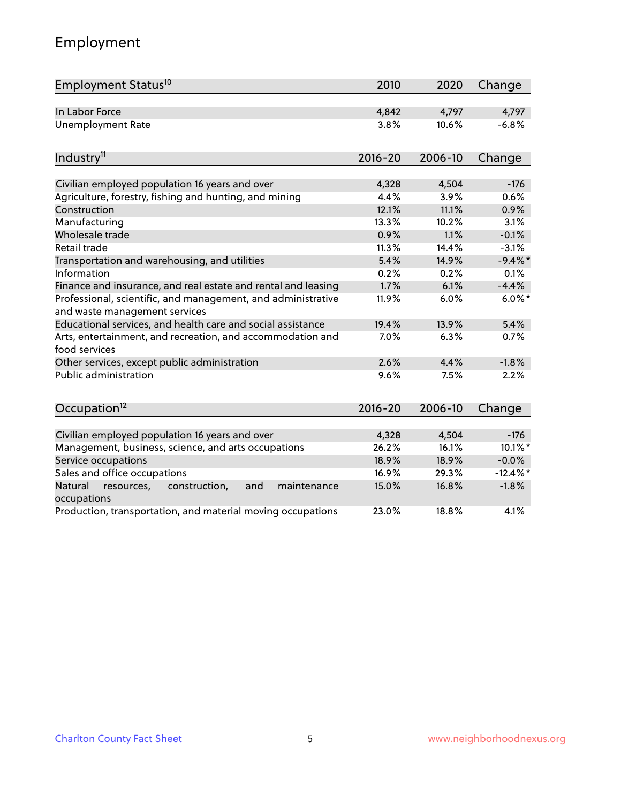# Employment

| Employment Status <sup>10</sup>                                                               | 2010        | 2020    | Change      |
|-----------------------------------------------------------------------------------------------|-------------|---------|-------------|
| In Labor Force                                                                                | 4,842       | 4,797   | 4,797       |
| <b>Unemployment Rate</b>                                                                      | 3.8%        | 10.6%   | $-6.8%$     |
| Industry <sup>11</sup>                                                                        | $2016 - 20$ | 2006-10 | Change      |
|                                                                                               |             |         |             |
| Civilian employed population 16 years and over                                                | 4,328       | 4,504   | $-176$      |
| Agriculture, forestry, fishing and hunting, and mining                                        | 4.4%        | 3.9%    | 0.6%        |
| Construction                                                                                  | 12.1%       | 11.1%   | 0.9%        |
| Manufacturing                                                                                 | 13.3%       | 10.2%   | 3.1%        |
| Wholesale trade                                                                               | 0.9%        | 1.1%    | $-0.1%$     |
| Retail trade                                                                                  | 11.3%       | 14.4%   | $-3.1%$     |
| Transportation and warehousing, and utilities                                                 | 5.4%        | 14.9%   | $-9.4\%$ *  |
| Information                                                                                   | 0.2%        | 0.2%    | 0.1%        |
| Finance and insurance, and real estate and rental and leasing                                 | 1.7%        | 6.1%    | $-4.4%$     |
| Professional, scientific, and management, and administrative<br>and waste management services | 11.9%       | 6.0%    | $6.0\%$ *   |
| Educational services, and health care and social assistance                                   | 19.4%       | 13.9%   | 5.4%        |
| Arts, entertainment, and recreation, and accommodation and<br>food services                   | 7.0%        | 6.3%    | 0.7%        |
| Other services, except public administration                                                  | 2.6%        | 4.4%    | $-1.8%$     |
| <b>Public administration</b>                                                                  | 9.6%        | 7.5%    | 2.2%        |
| Occupation <sup>12</sup>                                                                      | $2016 - 20$ | 2006-10 | Change      |
|                                                                                               |             |         |             |
| Civilian employed population 16 years and over                                                | 4,328       | 4,504   | $-176$      |
| Management, business, science, and arts occupations                                           | 26.2%       | 16.1%   | 10.1%*      |
| Service occupations                                                                           | 18.9%       | 18.9%   | $-0.0%$     |
| Sales and office occupations                                                                  | 16.9%       | 29.3%   | $-12.4\%$ * |
| Natural<br>resources,<br>construction,<br>and<br>maintenance<br>occupations                   | 15.0%       | 16.8%   | $-1.8%$     |
| Production, transportation, and material moving occupations                                   | 23.0%       | 18.8%   | 4.1%        |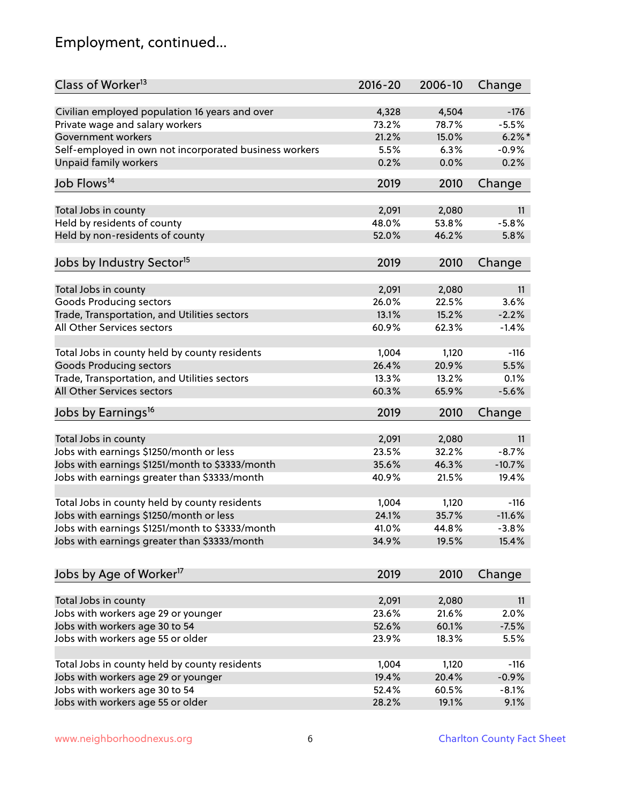# Employment, continued...

| Class of Worker <sup>13</sup>                          | $2016 - 20$ | 2006-10 | Change    |
|--------------------------------------------------------|-------------|---------|-----------|
| Civilian employed population 16 years and over         | 4,328       | 4,504   | $-176$    |
| Private wage and salary workers                        | 73.2%       | 78.7%   | $-5.5%$   |
| Government workers                                     | 21.2%       | 15.0%   | $6.2\%$ * |
| Self-employed in own not incorporated business workers | 5.5%        | 6.3%    | $-0.9%$   |
| <b>Unpaid family workers</b>                           | 0.2%        | 0.0%    | 0.2%      |
|                                                        |             |         |           |
| Job Flows <sup>14</sup>                                | 2019        | 2010    | Change    |
| Total Jobs in county                                   | 2,091       | 2,080   | 11        |
| Held by residents of county                            | 48.0%       | 53.8%   | $-5.8%$   |
| Held by non-residents of county                        | 52.0%       | 46.2%   | 5.8%      |
|                                                        |             |         |           |
| Jobs by Industry Sector <sup>15</sup>                  | 2019        | 2010    | Change    |
| Total Jobs in county                                   | 2,091       | 2,080   | 11        |
| Goods Producing sectors                                | 26.0%       | 22.5%   | 3.6%      |
| Trade, Transportation, and Utilities sectors           | 13.1%       | 15.2%   | $-2.2%$   |
| All Other Services sectors                             | 60.9%       | 62.3%   | $-1.4%$   |
|                                                        |             |         |           |
| Total Jobs in county held by county residents          | 1,004       | 1,120   | $-116$    |
| <b>Goods Producing sectors</b>                         | 26.4%       | 20.9%   | 5.5%      |
| Trade, Transportation, and Utilities sectors           | 13.3%       | 13.2%   | 0.1%      |
| All Other Services sectors                             | 60.3%       | 65.9%   | $-5.6%$   |
| Jobs by Earnings <sup>16</sup>                         | 2019        | 2010    | Change    |
|                                                        |             |         |           |
| Total Jobs in county                                   | 2,091       | 2,080   | 11        |
| Jobs with earnings \$1250/month or less                | 23.5%       | 32.2%   | $-8.7%$   |
| Jobs with earnings \$1251/month to \$3333/month        | 35.6%       | 46.3%   | $-10.7%$  |
| Jobs with earnings greater than \$3333/month           | 40.9%       | 21.5%   | 19.4%     |
| Total Jobs in county held by county residents          | 1,004       | 1,120   | $-116$    |
| Jobs with earnings \$1250/month or less                | 24.1%       | 35.7%   | $-11.6%$  |
| Jobs with earnings \$1251/month to \$3333/month        | 41.0%       | 44.8%   | -3.8%     |
| Jobs with earnings greater than \$3333/month           | 34.9%       | 19.5%   | 15.4%     |
|                                                        |             |         |           |
| Jobs by Age of Worker <sup>17</sup>                    | 2019        | 2010    | Change    |
| Total Jobs in county                                   | 2,091       | 2,080   | 11        |
| Jobs with workers age 29 or younger                    | 23.6%       | 21.6%   | 2.0%      |
| Jobs with workers age 30 to 54                         | 52.6%       | 60.1%   | $-7.5%$   |
| Jobs with workers age 55 or older                      | 23.9%       | 18.3%   | 5.5%      |
|                                                        |             |         |           |
| Total Jobs in county held by county residents          | 1,004       | 1,120   | $-116$    |
| Jobs with workers age 29 or younger                    | 19.4%       | 20.4%   | $-0.9%$   |
| Jobs with workers age 30 to 54                         | 52.4%       | 60.5%   | $-8.1%$   |
| Jobs with workers age 55 or older                      | 28.2%       | 19.1%   | 9.1%      |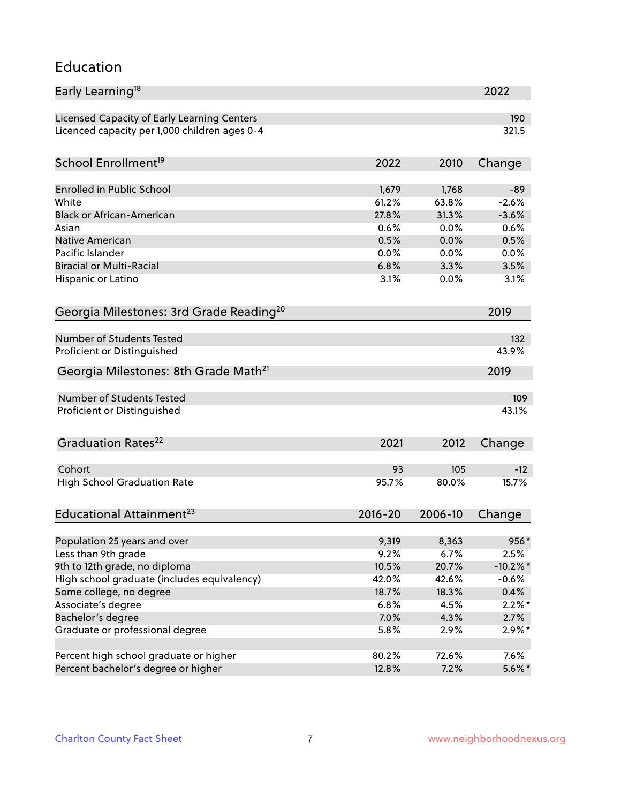#### Education

| Early Learning <sup>18</sup>                        |             |         | 2022        |
|-----------------------------------------------------|-------------|---------|-------------|
| Licensed Capacity of Early Learning Centers         |             |         | 190         |
| Licenced capacity per 1,000 children ages 0-4       |             |         | 321.5       |
|                                                     |             |         |             |
| School Enrollment <sup>19</sup>                     | 2022        | 2010    | Change      |
| <b>Enrolled in Public School</b>                    | 1,679       | 1,768   | $-89$       |
| White                                               | 61.2%       | 63.8%   | $-2.6%$     |
| <b>Black or African-American</b>                    | 27.8%       | 31.3%   | $-3.6%$     |
| Asian                                               | 0.6%        | 0.0%    | 0.6%        |
| Native American                                     | 0.5%        | 0.0%    | 0.5%        |
| Pacific Islander                                    | 0.0%        | 0.0%    | 0.0%        |
| <b>Biracial or Multi-Racial</b>                     | 6.8%        | 3.3%    | 3.5%        |
| Hispanic or Latino                                  | 3.1%        | 0.0%    | 3.1%        |
| Georgia Milestones: 3rd Grade Reading <sup>20</sup> |             |         | 2019        |
|                                                     |             |         |             |
| <b>Number of Students Tested</b>                    |             |         | 132         |
| Proficient or Distinguished                         |             |         | 43.9%       |
| Georgia Milestones: 8th Grade Math <sup>21</sup>    |             |         | 2019        |
| <b>Number of Students Tested</b>                    |             |         | 109         |
| Proficient or Distinguished                         |             |         | 43.1%       |
|                                                     |             |         |             |
| Graduation Rates <sup>22</sup>                      | 2021        | 2012    | Change      |
|                                                     |             |         |             |
| Cohort                                              | 93          | 105     | $-12$       |
| <b>High School Graduation Rate</b>                  | 95.7%       | 80.0%   | 15.7%       |
| Educational Attainment <sup>23</sup>                | $2016 - 20$ | 2006-10 | Change      |
|                                                     |             |         |             |
| Population 25 years and over                        | 9,319       | 8,363   | 956*        |
| Less than 9th grade                                 | 9.2%        | 6.7%    | 2.5%        |
| 9th to 12th grade, no diploma                       | 10.5%       | 20.7%   | $-10.2\%$ * |
| High school graduate (includes equivalency)         | 42.0%       | 42.6%   | $-0.6%$     |
| Some college, no degree                             | 18.7%       | 18.3%   | 0.4%        |
| Associate's degree                                  | 6.8%        | 4.5%    | $2.2\%$ *   |
| Bachelor's degree                                   | 7.0%        | 4.3%    | 2.7%        |
| Graduate or professional degree                     | 5.8%        | 2.9%    | $2.9\%$ *   |
| Percent high school graduate or higher              | 80.2%       | 72.6%   | 7.6%        |
| Percent bachelor's degree or higher                 | 12.8%       | 7.2%    | $5.6\%$ *   |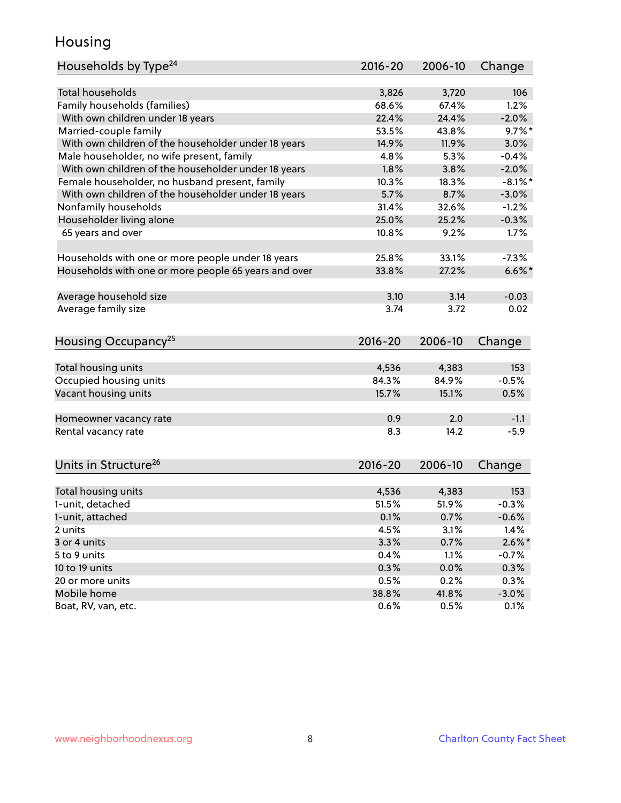### Housing

| Households by Type <sup>24</sup>                     | $2016 - 20$    | 2006-10        | Change         |
|------------------------------------------------------|----------------|----------------|----------------|
|                                                      |                |                |                |
| <b>Total households</b>                              | 3,826          | 3,720          | 106            |
| Family households (families)                         | 68.6%          | 67.4%          | 1.2%           |
| With own children under 18 years                     | 22.4%          | 24.4%          | $-2.0%$        |
| Married-couple family                                | 53.5%          | 43.8%          | $9.7%$ *       |
| With own children of the householder under 18 years  | 14.9%          | 11.9%          | 3.0%           |
| Male householder, no wife present, family            | 4.8%           | 5.3%           | $-0.4%$        |
| With own children of the householder under 18 years  | 1.8%           | 3.8%           | $-2.0%$        |
| Female householder, no husband present, family       | 10.3%          | 18.3%          | $-8.1\%$ *     |
| With own children of the householder under 18 years  | 5.7%           | 8.7%           | $-3.0%$        |
| Nonfamily households                                 | 31.4%          | 32.6%          | $-1.2%$        |
| Householder living alone                             | 25.0%          | 25.2%          | $-0.3%$        |
| 65 years and over                                    | 10.8%          | 9.2%           | 1.7%           |
|                                                      | 25.8%          | 33.1%          | $-7.3%$        |
| Households with one or more people under 18 years    |                |                |                |
| Households with one or more people 65 years and over | 33.8%          | 27.2%          | $6.6\%$ *      |
| Average household size                               | 3.10           | 3.14           | $-0.03$        |
| Average family size                                  | 3.74           | 3.72           | 0.02           |
|                                                      |                |                |                |
| Housing Occupancy <sup>25</sup>                      | $2016 - 20$    | 2006-10        | Change         |
|                                                      |                |                |                |
| Total housing units                                  | 4,536<br>84.3% | 4,383<br>84.9% | 153<br>$-0.5%$ |
| Occupied housing units                               |                |                |                |
| Vacant housing units                                 | 15.7%          | 15.1%          | 0.5%           |
| Homeowner vacancy rate                               | 0.9            | 2.0            | $-1.1$         |
| Rental vacancy rate                                  | 8.3            | 14.2           | $-5.9$         |
|                                                      |                |                |                |
| Units in Structure <sup>26</sup>                     | $2016 - 20$    | 2006-10        | Change         |
|                                                      |                |                |                |
| Total housing units                                  | 4,536          | 4,383          | 153            |
| 1-unit, detached                                     | 51.5%          | 51.9%          | $-0.3%$        |
| 1-unit, attached                                     | 0.1%           | 0.7%           | $-0.6%$        |
| 2 units                                              | 4.5%           | 3.1%           | 1.4%           |
| 3 or 4 units                                         | 3.3%           | 0.7%           | $2.6\%$ *      |
| 5 to 9 units                                         | 0.4%           | 1.1%           | $-0.7%$        |
| 10 to 19 units                                       | 0.3%           | 0.0%           | 0.3%           |
| 20 or more units                                     | 0.5%           | 0.2%           | 0.3%           |
| Mobile home                                          | 38.8%          | 41.8%          | $-3.0%$        |
| Boat, RV, van, etc.                                  | 0.6%           | 0.5%           | 0.1%           |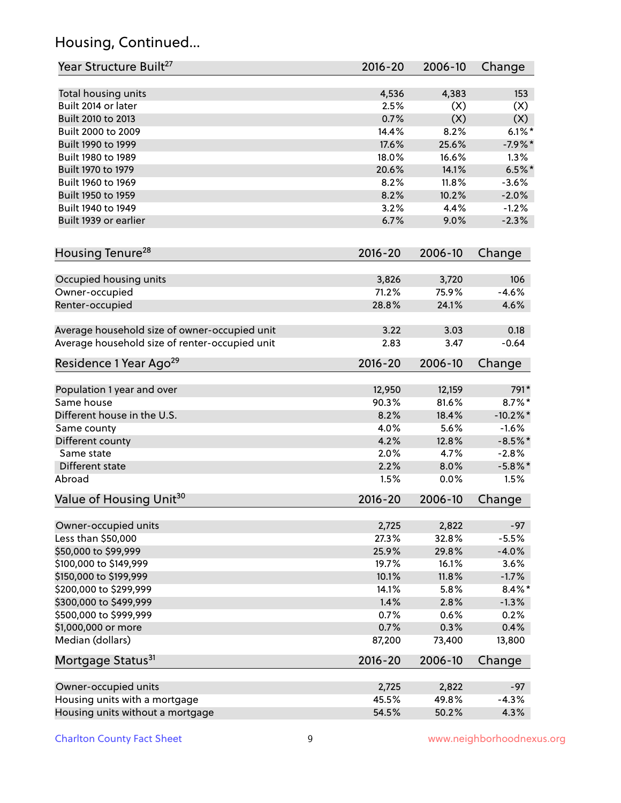# Housing, Continued...

| Year Structure Built <sup>27</sup>             | 2016-20     | 2006-10 | Change      |
|------------------------------------------------|-------------|---------|-------------|
| Total housing units                            | 4,536       | 4,383   | 153         |
| Built 2014 or later                            | 2.5%        | (X)     | (X)         |
| Built 2010 to 2013                             | 0.7%        | (X)     | (X)         |
| Built 2000 to 2009                             | 14.4%       | 8.2%    | $6.1\%$ *   |
| Built 1990 to 1999                             | 17.6%       | 25.6%   | $-7.9%$ *   |
| Built 1980 to 1989                             | 18.0%       | 16.6%   | 1.3%        |
| Built 1970 to 1979                             | 20.6%       | 14.1%   | $6.5%$ *    |
| Built 1960 to 1969                             | 8.2%        | 11.8%   | $-3.6%$     |
| Built 1950 to 1959                             | 8.2%        | 10.2%   | $-2.0%$     |
| Built 1940 to 1949                             | 3.2%        | 4.4%    | $-1.2%$     |
| Built 1939 or earlier                          | 6.7%        | 9.0%    | $-2.3%$     |
| Housing Tenure <sup>28</sup>                   | $2016 - 20$ | 2006-10 | Change      |
|                                                |             |         |             |
| Occupied housing units                         | 3,826       | 3,720   | 106         |
| Owner-occupied                                 | 71.2%       | 75.9%   | $-4.6%$     |
| Renter-occupied                                | 28.8%       | 24.1%   | 4.6%        |
| Average household size of owner-occupied unit  | 3.22        | 3.03    | 0.18        |
| Average household size of renter-occupied unit | 2.83        | 3.47    | $-0.64$     |
| Residence 1 Year Ago <sup>29</sup>             | 2016-20     | 2006-10 | Change      |
| Population 1 year and over                     | 12,950      | 12,159  | 791*        |
| Same house                                     | 90.3%       | 81.6%   | 8.7%*       |
| Different house in the U.S.                    | 8.2%        | 18.4%   | $-10.2\%$ * |
| Same county                                    | 4.0%        | 5.6%    | $-1.6%$     |
| Different county                               | 4.2%        | 12.8%   | $-8.5%$ *   |
| Same state                                     | 2.0%        | 4.7%    | $-2.8%$     |
| Different state                                | 2.2%        | 8.0%    | $-5.8\%$ *  |
| Abroad                                         | 1.5%        | 0.0%    | 1.5%        |
| Value of Housing Unit <sup>30</sup>            | $2016 - 20$ | 2006-10 | Change      |
|                                                |             |         |             |
| Owner-occupied units                           | 2,725       | 2,822   | $-97$       |
| Less than \$50,000                             | 27.3%       | 32.8%   | $-5.5%$     |
| \$50,000 to \$99,999                           | 25.9%       | 29.8%   | $-4.0%$     |
| \$100,000 to \$149,999                         | 19.7%       | 16.1%   | 3.6%        |
| \$150,000 to \$199,999                         | 10.1%       | 11.8%   | $-1.7%$     |
| \$200,000 to \$299,999                         | 14.1%       | 5.8%    | $8.4\%$ *   |
| \$300,000 to \$499,999                         | 1.4%        | 2.8%    | $-1.3%$     |
| \$500,000 to \$999,999                         | 0.7%        | 0.6%    | 0.2%        |
| \$1,000,000 or more                            | 0.7%        | 0.3%    | 0.4%        |
| Median (dollars)                               | 87,200      | 73,400  | 13,800      |
| Mortgage Status <sup>31</sup>                  | $2016 - 20$ | 2006-10 | Change      |
| Owner-occupied units                           | 2,725       | 2,822   | $-97$       |
| Housing units with a mortgage                  | 45.5%       | 49.8%   | $-4.3%$     |
| Housing units without a mortgage               | 54.5%       | 50.2%   | 4.3%        |
|                                                |             |         |             |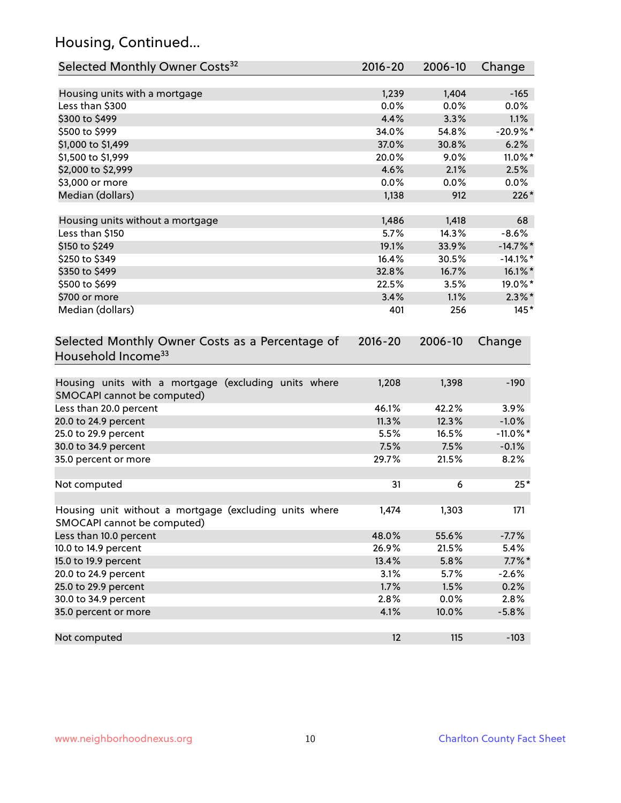# Housing, Continued...

| Selected Monthly Owner Costs <sup>32</sup>                                            | 2016-20     | 2006-10 | Change      |
|---------------------------------------------------------------------------------------|-------------|---------|-------------|
| Housing units with a mortgage                                                         | 1,239       | 1,404   | $-165$      |
| Less than \$300                                                                       | 0.0%        | 0.0%    | 0.0%        |
| \$300 to \$499                                                                        | 4.4%        | 3.3%    | 1.1%        |
| \$500 to \$999                                                                        | 34.0%       | 54.8%   | $-20.9%$ *  |
| \$1,000 to \$1,499                                                                    | 37.0%       | 30.8%   | 6.2%        |
| \$1,500 to \$1,999                                                                    | 20.0%       | 9.0%    | 11.0%*      |
| \$2,000 to \$2,999                                                                    | 4.6%        | 2.1%    | 2.5%        |
| \$3,000 or more                                                                       | 0.0%        | 0.0%    | $0.0\%$     |
| Median (dollars)                                                                      | 1,138       | 912     | $226*$      |
|                                                                                       |             |         |             |
| Housing units without a mortgage                                                      | 1,486       | 1,418   | 68          |
| Less than \$150                                                                       | 5.7%        | 14.3%   | $-8.6%$     |
| \$150 to \$249                                                                        | 19.1%       | 33.9%   | $-14.7\%$ * |
| \$250 to \$349                                                                        | 16.4%       | 30.5%   | $-14.1\%$ * |
| \$350 to \$499                                                                        | 32.8%       | 16.7%   | $16.1\%$ *  |
| \$500 to \$699                                                                        | 22.5%       | 3.5%    | 19.0%*      |
| \$700 or more                                                                         | 3.4%        | 1.1%    | $2.3\%$ *   |
| Median (dollars)                                                                      | 401         | 256     | $145*$      |
| Selected Monthly Owner Costs as a Percentage of<br>Household Income <sup>33</sup>     | $2016 - 20$ | 2006-10 | Change      |
| Housing units with a mortgage (excluding units where<br>SMOCAPI cannot be computed)   | 1,208       | 1,398   | $-190$      |
| Less than 20.0 percent                                                                | 46.1%       | 42.2%   | 3.9%        |
| 20.0 to 24.9 percent                                                                  | 11.3%       | 12.3%   | $-1.0%$     |
| 25.0 to 29.9 percent                                                                  | 5.5%        | 16.5%   | $-11.0\%$ * |
| 30.0 to 34.9 percent                                                                  | 7.5%        | 7.5%    | $-0.1%$     |
| 35.0 percent or more                                                                  | 29.7%       | 21.5%   | 8.2%        |
| Not computed                                                                          | 31          | 6       | $25*$       |
| Housing unit without a mortgage (excluding units where<br>SMOCAPI cannot be computed) | 1,474       | 1,303   | 171         |
| Less than 10.0 percent                                                                | 48.0%       | 55.6%   | $-7.7%$     |
| 10.0 to 14.9 percent                                                                  | 26.9%       | 21.5%   | 5.4%        |
| 15.0 to 19.9 percent                                                                  | 13.4%       | 5.8%    | $7.7\%$ *   |
| 20.0 to 24.9 percent                                                                  | 3.1%        | 5.7%    | $-2.6%$     |
| 25.0 to 29.9 percent                                                                  | 1.7%        | 1.5%    | 0.2%        |
| 30.0 to 34.9 percent                                                                  | 2.8%        | 0.0%    | 2.8%        |
| 35.0 percent or more                                                                  | 4.1%        | 10.0%   | $-5.8%$     |
| Not computed                                                                          | 12          | 115     | $-103$      |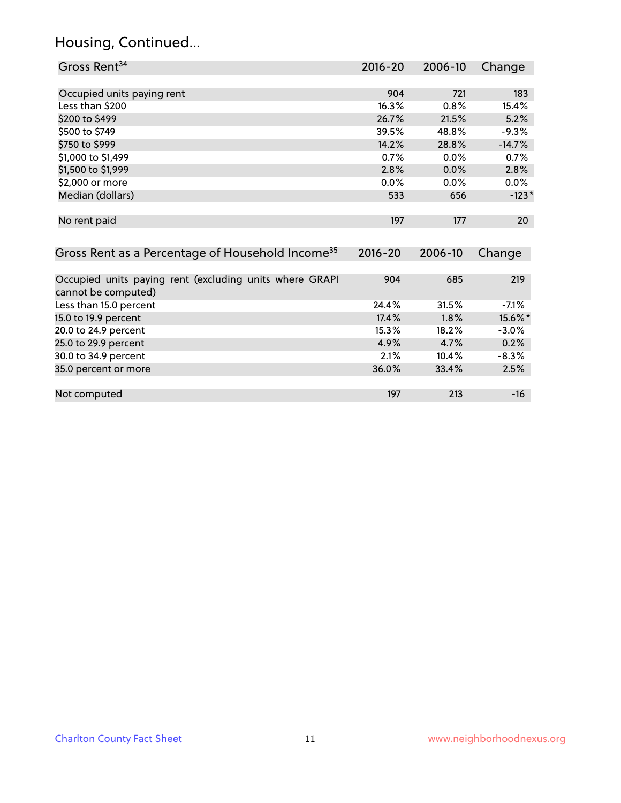### Housing, Continued...

| Gross Rent <sup>34</sup>                                                       | $2016 - 20$ | 2006-10 | Change   |
|--------------------------------------------------------------------------------|-------------|---------|----------|
|                                                                                |             |         |          |
| Occupied units paying rent                                                     | 904         | 721     | 183      |
| Less than \$200                                                                | 16.3%       | 0.8%    | 15.4%    |
| \$200 to \$499                                                                 | 26.7%       | 21.5%   | 5.2%     |
| \$500 to \$749                                                                 | 39.5%       | 48.8%   | $-9.3%$  |
| \$750 to \$999                                                                 | 14.2%       | 28.8%   | $-14.7%$ |
| \$1,000 to \$1,499                                                             | 0.7%        | 0.0%    | 0.7%     |
| \$1,500 to \$1,999                                                             | 2.8%        | $0.0\%$ | 2.8%     |
| \$2,000 or more                                                                | $0.0\%$     | $0.0\%$ | $0.0\%$  |
| Median (dollars)                                                               | 533         | 656     | $-123*$  |
|                                                                                |             |         |          |
| No rent paid                                                                   | 197         | 177     | 20       |
|                                                                                |             |         |          |
| Gross Rent as a Percentage of Household Income <sup>35</sup>                   | $2016 - 20$ | 2006-10 | Change   |
|                                                                                |             |         |          |
| Occupied units paying rent (excluding units where GRAPI<br>cannot be computed) | 904         | 685     | 219      |
| Less than 15.0 percent                                                         | 24.4%       | 31.5%   | $-7.1%$  |
| 15.0 to 19.9 percent                                                           | 17.4%       | 1.8%    | 15.6%*   |
| 20.0 to 24.9 percent                                                           | 15.3%       | 18.2%   | $-3.0%$  |
| 25.0 to 29.9 percent                                                           | 4.9%        | 4.7%    | 0.2%     |
| 30.0 to 34.9 percent                                                           | 2.1%        | 10.4%   | $-8.3%$  |
| 35.0 percent or more                                                           | 36.0%       | 33.4%   | 2.5%     |

Not computed and the computed of the computed computed and the computed computed computed computed  $197$  and  $16$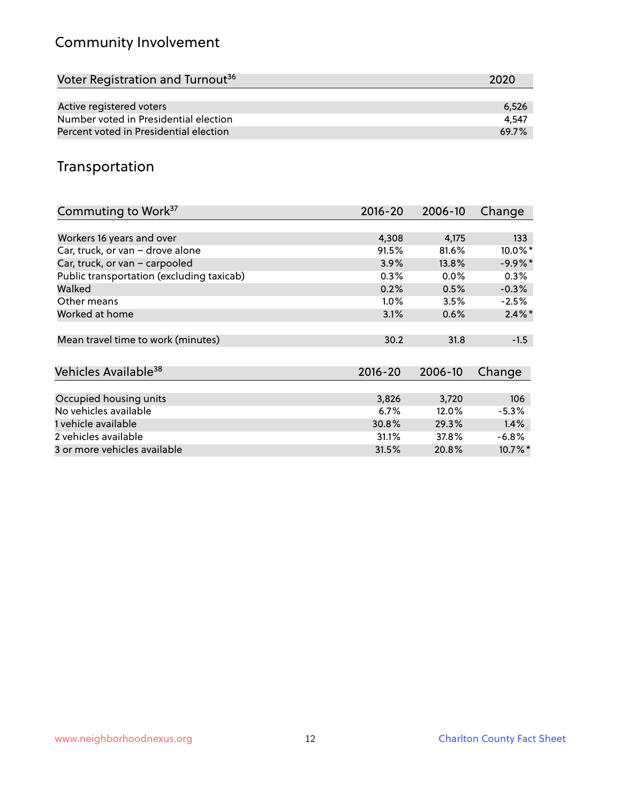# Community Involvement

| Voter Registration and Turnout <sup>36</sup> | 2020  |
|----------------------------------------------|-------|
|                                              |       |
| Active registered voters                     | 6,526 |
| Number voted in Presidential election        | 4.547 |
| Percent voted in Presidential election       | 69.7% |

## Transportation

| Commuting to Work <sup>37</sup>           | 2016-20     | 2006-10 | Change    |
|-------------------------------------------|-------------|---------|-----------|
|                                           |             |         |           |
| Workers 16 years and over                 | 4,308       | 4,175   | 133       |
| Car, truck, or van - drove alone          | 91.5%       | 81.6%   | 10.0%*    |
| Car, truck, or van - carpooled            | 3.9%        | 13.8%   | $-9.9%$ * |
| Public transportation (excluding taxicab) | 0.3%        | $0.0\%$ | $0.3\%$   |
| Walked                                    | 0.2%        | 0.5%    | $-0.3%$   |
| Other means                               | $1.0\%$     | 3.5%    | $-2.5%$   |
| Worked at home                            | 3.1%        | 0.6%    | $2.4\%$ * |
|                                           |             |         |           |
| Mean travel time to work (minutes)        | 30.2        | 31.8    | $-1.5$    |
|                                           |             |         |           |
| Vehicles Available <sup>38</sup>          | $2016 - 20$ | 2006-10 | Change    |
|                                           |             |         |           |
| Occupied housing units                    | 3,826       | 3,720   | 106       |
| No vehicles available                     | 6.7%        | 12.0%   | $-5.3%$   |
| 1 vehicle available                       | 30.8%       | 29.3%   | 1.4%      |
| 2 vehicles available                      | 31.1%       | 37.8%   | $-6.8\%$  |
| 3 or more vehicles available              | 31.5%       | 20.8%   | 10.7%*    |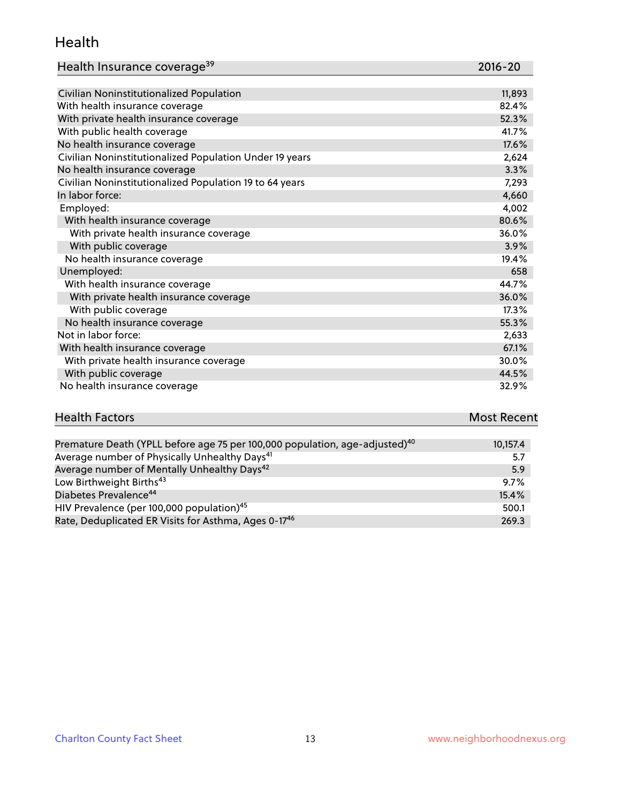#### Health

| Health Insurance coverage <sup>39</sup> | 2016-20 |
|-----------------------------------------|---------|
|-----------------------------------------|---------|

| Civilian Noninstitutionalized Population                | 11,893 |
|---------------------------------------------------------|--------|
| With health insurance coverage                          | 82.4%  |
| With private health insurance coverage                  | 52.3%  |
| With public health coverage                             | 41.7%  |
| No health insurance coverage                            | 17.6%  |
| Civilian Noninstitutionalized Population Under 19 years | 2,624  |
| No health insurance coverage                            | 3.3%   |
| Civilian Noninstitutionalized Population 19 to 64 years | 7,293  |
| In labor force:                                         | 4,660  |
| Employed:                                               | 4,002  |
| With health insurance coverage                          | 80.6%  |
| With private health insurance coverage                  | 36.0%  |
| With public coverage                                    | 3.9%   |
| No health insurance coverage                            | 19.4%  |
| Unemployed:                                             | 658    |
| With health insurance coverage                          | 44.7%  |
| With private health insurance coverage                  | 36.0%  |
| With public coverage                                    | 17.3%  |
| No health insurance coverage                            | 55.3%  |
| Not in labor force:                                     | 2,633  |
| With health insurance coverage                          | 67.1%  |
| With private health insurance coverage                  | 30.0%  |
| With public coverage                                    | 44.5%  |
| No health insurance coverage                            | 32.9%  |

| <b>Health Factors</b> | <b>Most Recent</b> |
|-----------------------|--------------------|
|                       |                    |

| Premature Death (YPLL before age 75 per 100,000 population, age-adjusted) <sup>40</sup> | 10,157.4 |
|-----------------------------------------------------------------------------------------|----------|
| Average number of Physically Unhealthy Days <sup>41</sup>                               | 5.7      |
| Average number of Mentally Unhealthy Days <sup>42</sup>                                 | 5.9      |
| Low Birthweight Births <sup>43</sup>                                                    | $9.7\%$  |
| Diabetes Prevalence <sup>44</sup>                                                       | 15.4%    |
| HIV Prevalence (per 100,000 population) <sup>45</sup>                                   | 500.1    |
| Rate, Deduplicated ER Visits for Asthma, Ages 0-17 <sup>46</sup>                        | 269.3    |